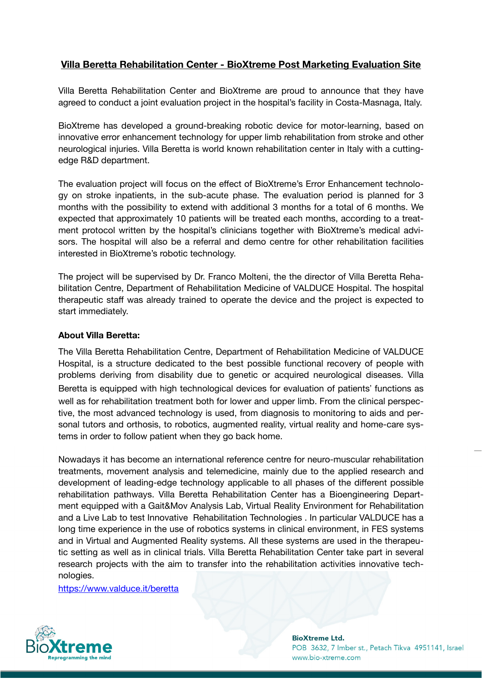## **Villa Beretta Rehabilitation Center - BioXtreme Post Marketing Evaluation Site**

Villa Beretta Rehabilitation Center and BioXtreme are proud to announce that they have agreed to conduct a joint evaluation project in the hospital's facility in Costa-Masnaga, Italy.

BioXtreme has developed a ground-breaking robotic device for motor-learning, based on innovative error enhancement technology for upper limb rehabilitation from stroke and other neurological injuries. Villa Beretta is world known rehabilitation center in Italy with a cuttingedge R&D department.

The evaluation project will focus on the effect of BioXtreme's Error Enhancement technology on stroke inpatients, in the sub-acute phase. The evaluation period is planned for 3 months with the possibility to extend with additional 3 months for a total of 6 months. We expected that approximately 10 patients will be treated each months, according to a treatment protocol written by the hospital's clinicians together with BioXtreme's medical advisors. The hospital will also be a referral and demo centre for other rehabilitation facilities interested in BioXtreme's robotic technology.

The project will be supervised by Dr. Franco Molteni, the the director of Villa Beretta Rehabilitation Centre, Department of Rehabilitation Medicine of VALDUCE Hospital. The hospital therapeutic staff was already trained to operate the device and the project is expected to start immediately.

## **About Villa Beretta:**

The Villa Beretta Rehabilitation Centre, Department of Rehabilitation Medicine of VALDUCE Hospital, is a structure dedicated to the best possible functional recovery of people with problems deriving from disability due to genetic or acquired neurological diseases. Villa Beretta is equipped with high technological devices for evaluation of patients' functions as well as for rehabilitation treatment both for lower and upper limb. From the clinical perspective, the most advanced technology is used, from diagnosis to monitoring to aids and personal tutors and orthosis, to robotics, augmented reality, virtual reality and home-care systems in order to follow patient when they go back home.

Nowadays it has become an international reference centre for neuro-muscular rehabilitation treatments, movement analysis and telemedicine, mainly due to the applied research and development of leading-edge technology applicable to all phases of the different possible rehabilitation pathways. Villa Beretta Rehabilitation Center has a Bioengineering Department equipped with a Gait&Mov Analysis Lab, Virtual Reality Environment for Rehabilitation and a Live Lab to test Innovative Rehabilitation Technologies . In particular VALDUCE has a long time experience in the use of robotics systems in clinical environment, in FES systems and in Virtual and Augmented Reality systems. All these systems are used in the therapeutic setting as well as in clinical trials. Villa Beretta Rehabilitation Center take part in several research projects with the aim to transfer into the rehabilitation activities innovative technologies.

<https://www.valduce.it/beretta>



**BioXtreme Ltd.** POB 3632, 7 Imber st., Petach Tikva 4951141, Israel www.bio-xtreme.com